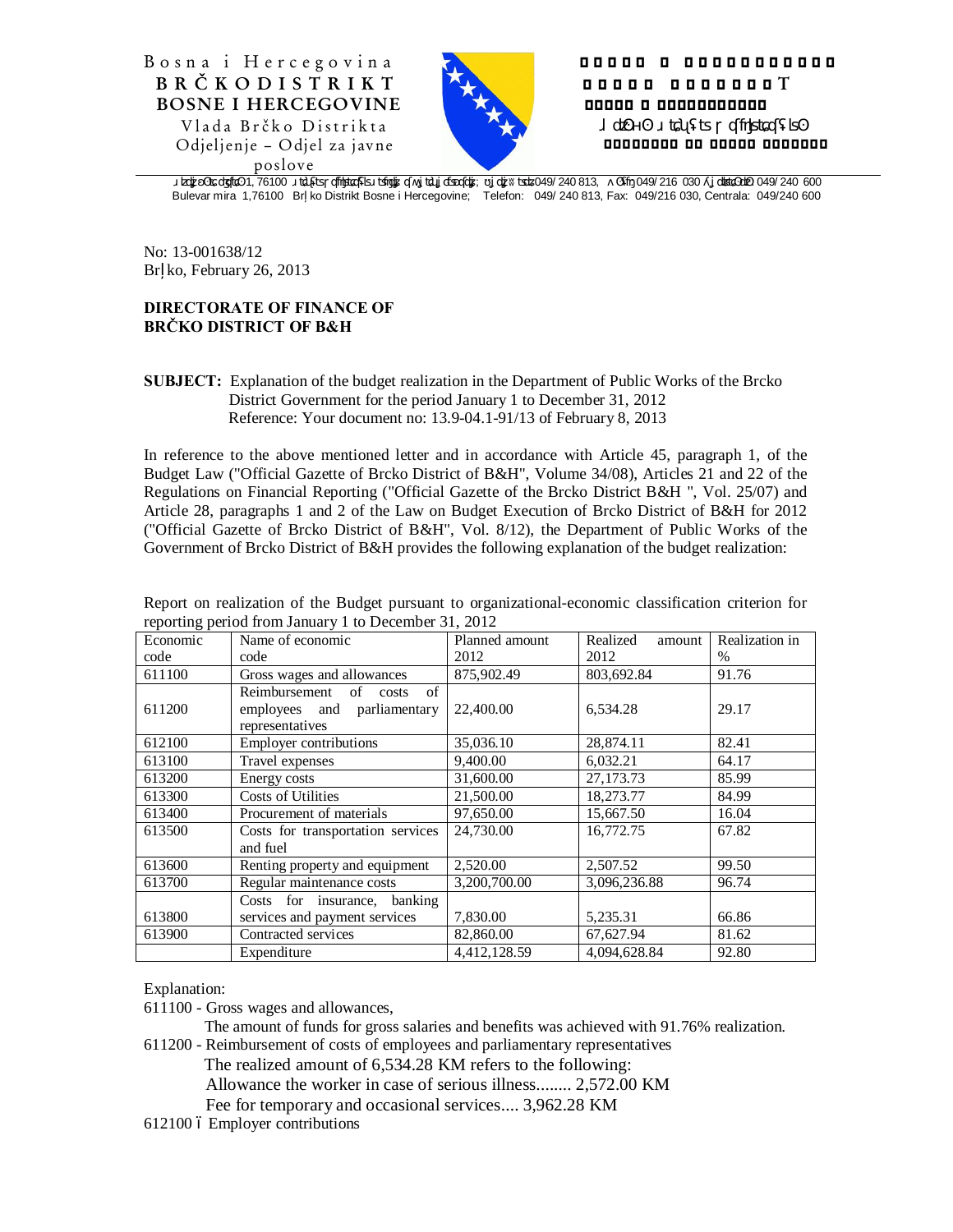

No: 13-001638/12 Br ko, February 26, 2013

## **DIRECTORATE OF FINANCE OF BRČKO DISTRICT OF B&H**

## **SUBJECT:** Explanation of the budget realization in the Department of Public Works of the Brcko District Government for the period January 1 to December 31, 2012 Reference: Your document no: 13.9-04.1-91/13 of February 8, 2013

In reference to the above mentioned letter and in accordance with Article 45, paragraph 1, of the Budget Law ("Official Gazette of Brcko District of B&H", Volume 34/08), Articles 21 and 22 of the Regulations on Financial Reporting ("Official Gazette of the Brcko District B&H ", Vol. 25/07) and Article 28, paragraphs 1 and 2 of the Law on Budget Execution of Brcko District of B&H for 2012 ("Official Gazette of Brcko District of B&H", Vol. 8/12), the Department of Public Works of the Government of Brcko District of B&H provides the following explanation of the budget realization:

| Economic | Name of economic                  | Planned amount | Realized<br>amount | Realization in |
|----------|-----------------------------------|----------------|--------------------|----------------|
| code     | code                              | 2012           | 2012               | $\%$           |
| 611100   | Gross wages and allowances        | 875,902.49     | 803,692.84         | 91.76          |
|          | Reimbursement of costs<br>of      |                |                    |                |
| 611200   | employees and parliamentary       | 22,400.00      | 6,534.28           | 29.17          |
|          | representatives                   |                |                    |                |
| 612100   | <b>Employer contributions</b>     | 35,036.10      | 28,874.11          | 82.41          |
| 613100   | Travel expenses                   | 9,400.00       | 6.032.21           | 64.17          |
| 613200   | Energy costs                      | 31,600.00      | 27, 173. 73        | 85.99          |
| 613300   | <b>Costs of Utilities</b>         | 21,500.00      | 18.273.77          | 84.99          |
| 613400   | Procurement of materials          | 97,650.00      | 15,667.50          | 16.04          |
| 613500   | Costs for transportation services | 24.730.00      | 16,772.75          | 67.82          |
|          | and fuel                          |                |                    |                |
| 613600   | Renting property and equipment    | 2,520.00       | 2,507.52           | 99.50          |
| 613700   | Regular maintenance costs         | 3,200,700.00   | 3,096,236.88       | 96.74          |
|          | Costs for insurance, banking      |                |                    |                |
| 613800   | services and payment services     | 7,830.00       | 5,235.31           | 66.86          |
| 613900   | Contracted services               | 82,860.00      | 67,627.94          | 81.62          |
|          | Expenditure                       | 4.412.128.59   | 4.094.628.84       | 92.80          |

Report on realization of the Budget pursuant to organizational-economic classification criterion for reporting period from January 1 to December 31, 2012

Explanation:

611100 - Gross wages and allowances,

The amount of funds for gross salaries and benefits was achieved with 91.76% realization.

611200 - Reimbursement of costs of employees and parliamentary representatives

The realized amount of 6,534.28 KM refers to the following:

Allowance the worker in case of serious illness........ 2,572.00 KM

Fee for temporary and occasional services.... 3,962.28 KM

612100 ó Employer contributions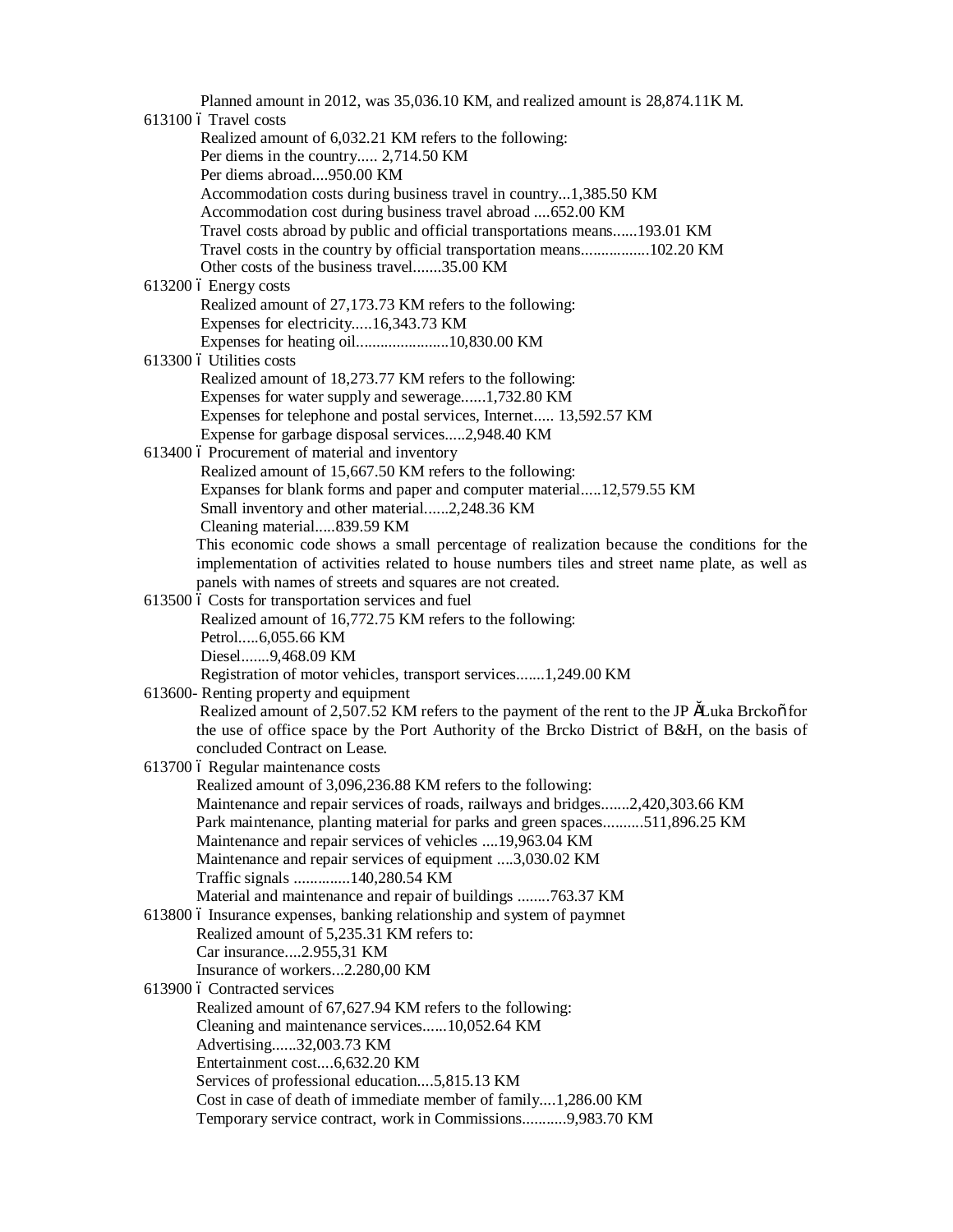| Planned amount in 2012, was 35,036.10 KM, and realized amount is 28,874.11K M.                                      |  |  |
|---------------------------------------------------------------------------------------------------------------------|--|--|
| 613100 ó Travel costs                                                                                               |  |  |
| Realized amount of 6,032.21 KM refers to the following:                                                             |  |  |
| Per diems in the country 2,714.50 KM                                                                                |  |  |
| Per diems abroad950.00 KM                                                                                           |  |  |
| Accommodation costs during business travel in country1,385.50 KM                                                    |  |  |
| Accommodation cost during business travel abroad  652.00 KM                                                         |  |  |
| Travel costs abroad by public and official transportations means193.01 KM                                           |  |  |
| Travel costs in the country by official transportation means102.20 KM<br>Other costs of the business travel35.00 KM |  |  |
| 613200 ó Energy costs                                                                                               |  |  |
| Realized amount of 27,173.73 KM refers to the following:                                                            |  |  |
| Expenses for electricity16,343.73 KM                                                                                |  |  |
|                                                                                                                     |  |  |
| 613300 ó Utilities costs                                                                                            |  |  |
| Realized amount of 18,273.77 KM refers to the following:                                                            |  |  |
| Expenses for water supply and sewerage1,732.80 KM                                                                   |  |  |
| Expenses for telephone and postal services, Internet 13,592.57 KM                                                   |  |  |
| Expense for garbage disposal services2,948.40 KM                                                                    |  |  |
| 613400 ó Procurement of material and inventory                                                                      |  |  |
| Realized amount of 15,667.50 KM refers to the following:                                                            |  |  |
| Expanses for blank forms and paper and computer material12,579.55 KM                                                |  |  |
| Small inventory and other material2,248.36 KM                                                                       |  |  |
| Cleaning material839.59 KM                                                                                          |  |  |
| This economic code shows a small percentage of realization because the conditions for the                           |  |  |
| implementation of activities related to house numbers tiles and street name plate, as well as                       |  |  |
| panels with names of streets and squares are not created.                                                           |  |  |
| 613500 ó Costs for transportation services and fuel                                                                 |  |  |
| Realized amount of 16,772.75 KM refers to the following:                                                            |  |  |
| Petrol6,055.66 KM                                                                                                   |  |  |
| Diesel9,468.09 KM                                                                                                   |  |  |
| Registration of motor vehicles, transport services1,249.00 KM                                                       |  |  |
| 613600-Renting property and equipment                                                                               |  |  |
| Realized amount of 2,507.52 KM refers to the payment of the rent to the JP šLuka Brckoo for                         |  |  |
| the use of office space by the Port Authority of the Brcko District of B&H, on the basis of                         |  |  |
| concluded Contract on Lease.                                                                                        |  |  |
| 613700 ó Regular maintenance costs                                                                                  |  |  |
| Realized amount of 3,096,236.88 KM refers to the following:                                                         |  |  |
| Maintenance and repair services of roads, railways and bridges2,420,303.66 KM                                       |  |  |
| Park maintenance, planting material for parks and green spaces511,896.25 KM                                         |  |  |
| Maintenance and repair services of vehicles 19,963.04 KM                                                            |  |  |
| Maintenance and repair services of equipment 3,030.02 KM                                                            |  |  |
| Traffic signals 140,280.54 KM<br>Material and maintenance and repair of buildings 763.37 KM                         |  |  |
| 613800 ó Insurance expenses, banking relationship and system of paymnet                                             |  |  |
| Realized amount of 5,235.31 KM refers to:                                                                           |  |  |
| Car insurance2.955,31 KM                                                                                            |  |  |
| Insurance of workers2.280,00 KM                                                                                     |  |  |
| 613900 ó Contracted services                                                                                        |  |  |
| Realized amount of 67,627.94 KM refers to the following:                                                            |  |  |
| Cleaning and maintenance services10,052.64 KM                                                                       |  |  |
| Advertising32,003.73 KM                                                                                             |  |  |
| Entertainment cost6,632.20 KM                                                                                       |  |  |
| Services of professional education5,815.13 KM                                                                       |  |  |
| Cost in case of death of immediate member of family1,286.00 KM                                                      |  |  |
| Temporary service contract, work in Commissions9,983.70 KM                                                          |  |  |
|                                                                                                                     |  |  |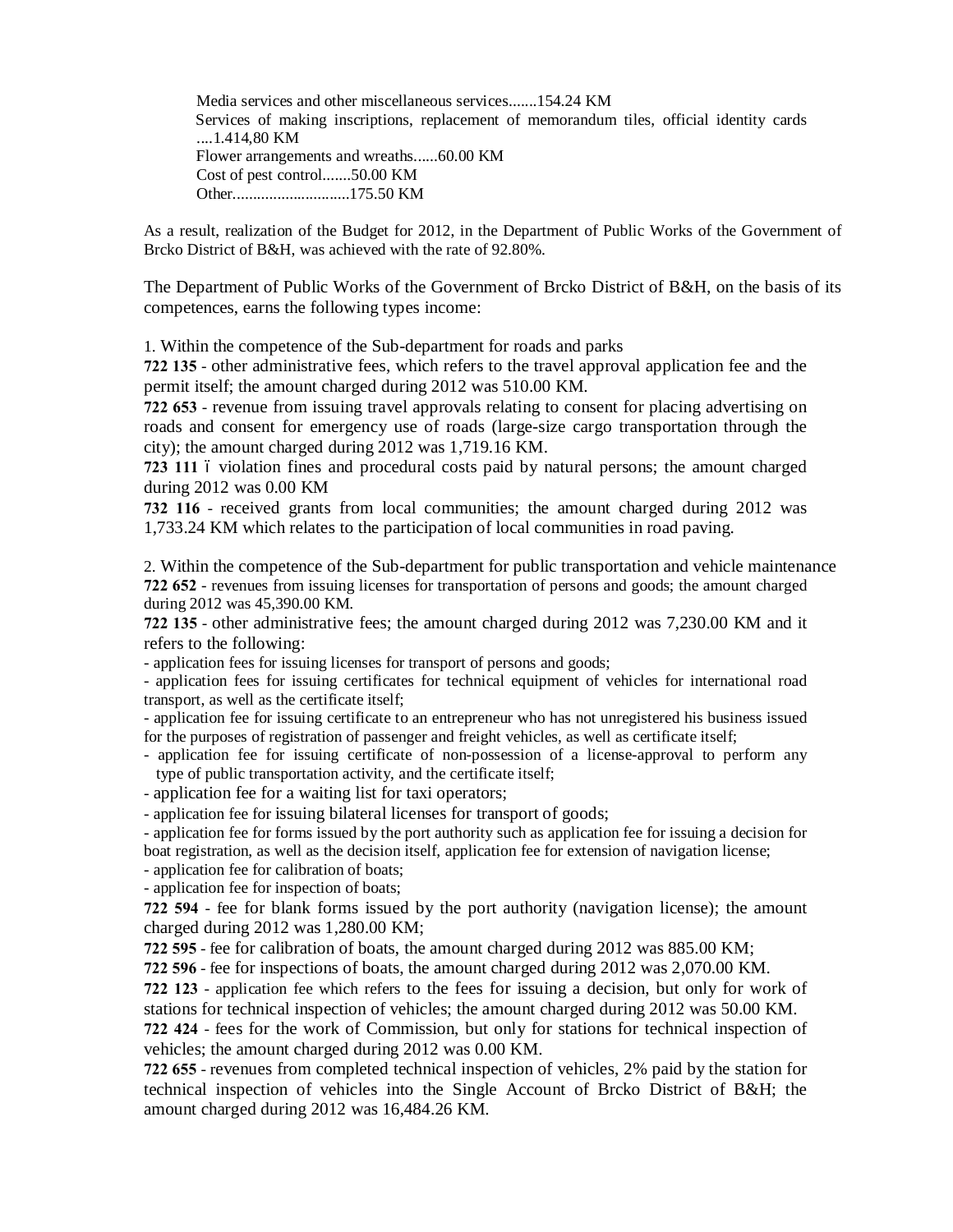Media services and other miscellaneous services.......154.24 KM Services of making inscriptions, replacement of memorandum tiles, official identity cards ....1.414,80 KM Flower arrangements and wreaths......60.00 KM Cost of pest control.......50.00 KM Other.............................175.50 KM

As a result, realization of the Budget for 2012, in the Department of Public Works of the Government of Brcko District of B&H, was achieved with the rate of 92.80%.

The Department of Public Works of the Government of Brcko District of B&H, on the basis of its competences, earns the following types income:

1. Within the competence of the Sub-department for roads and parks

**722 135** - other administrative fees, which refers to the travel approval application fee and the permit itself; the amount charged during 2012 was 510.00 KM.

**722 653** - revenue from issuing travel approvals relating to consent for placing advertising on roads and consent for emergency use of roads (large-size cargo transportation through the city); the amount charged during 2012 was 1,719.16 KM.

**723 111** 6 violation fines and procedural costs paid by natural persons; the amount charged during 2012 was 0.00 KM

**732 116** - received grants from local communities; the amount charged during 2012 was 1,733.24 KM which relates to the participation of local communities in road paving.

2. Within the competence of the Sub-department for public transportation and vehicle maintenance **722 652** - revenues from issuing licenses for transportation of persons and goods; the amount charged during 2012 was 45,390.00 KM.

**722 135** - other administrative fees; the amount charged during 2012 was 7,230.00 KM and it refers to the following:

- application fees for issuing licenses for transport of persons and goods;

- application fees for issuing certificates for technical equipment of vehicles for international road transport, as well as the certificate itself;

- application fee for issuing certificate to an entrepreneur who has not unregistered his business issued for the purposes of registration of passenger and freight vehicles, as well as certificate itself;

- application fee for issuing certificate of non-possession of a license-approval to perform any type of public transportation activity, and the certificate itself;

- application fee for a waiting list for taxi operators;

- application fee for issuing bilateral licenses for transport of goods;

- application fee for forms issued by the port authority such as application fee for issuing a decision for boat registration, as well as the decision itself, application fee for extension of navigation license;

- application fee for calibration of boats;

- application fee for inspection of boats;

**722 594** - fee for blank forms issued by the port authority (navigation license); the amount charged during 2012 was 1,280.00 KM;

**722 595** - fee for calibration of boats, the amount charged during 2012 was 885.00 KM;

**722 596** - fee for inspections of boats, the amount charged during 2012 was 2,070.00 KM.

**722 123** - application fee which refers to the fees for issuing a decision, but only for work of stations for technical inspection of vehicles; the amount charged during 2012 was 50.00 KM.

**722 424** - fees for the work of Commission, but only for stations for technical inspection of vehicles; the amount charged during 2012 was 0.00 KM.

**722 655** - revenues from completed technical inspection of vehicles, 2% paid by the station for technical inspection of vehicles into the Single Account of Brcko District of B&H; the amount charged during 2012 was 16,484.26 KM.